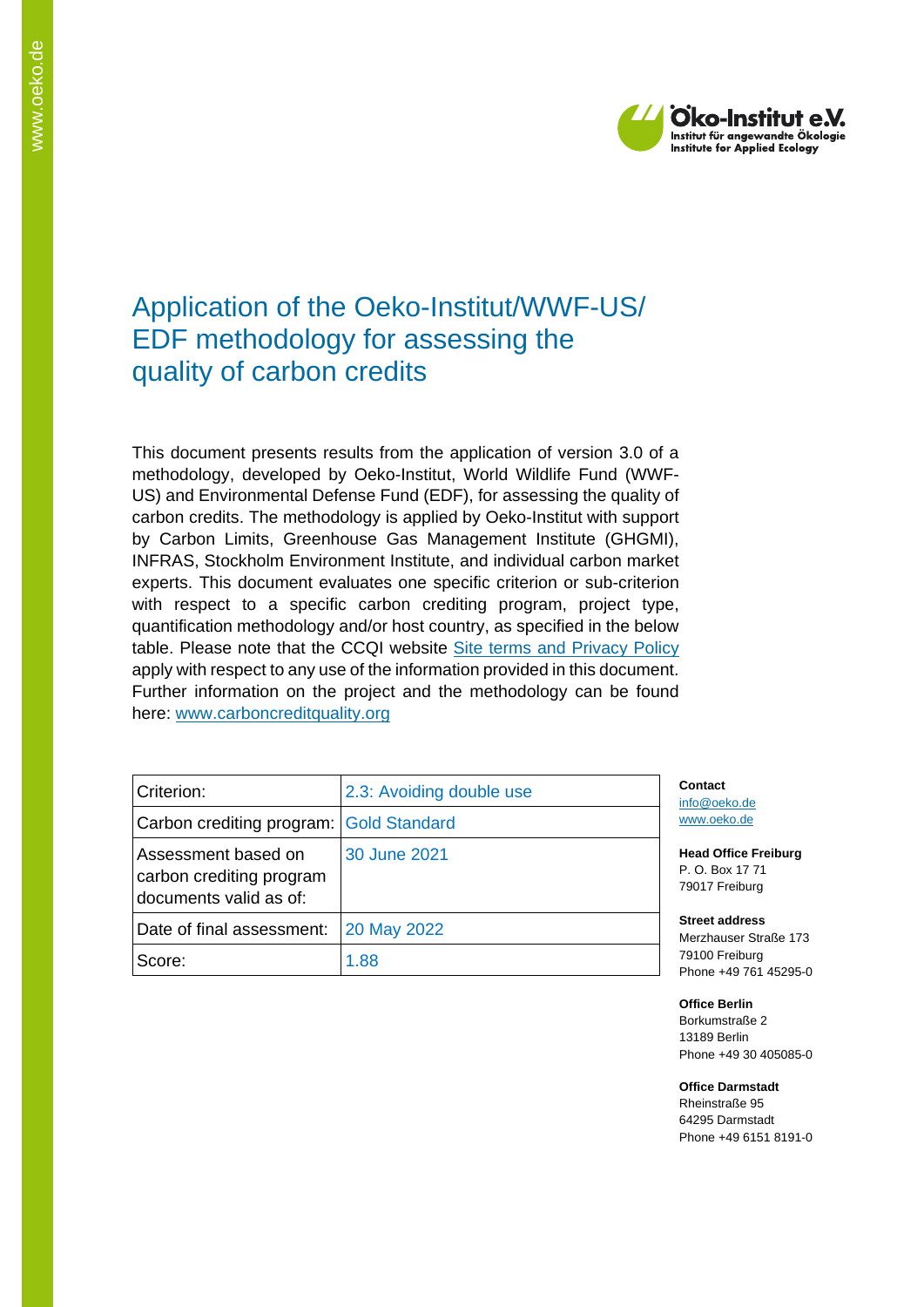

# Application of the Oeko-Institut/WWF-US/ EDF methodology for assessing the quality of carbon credits

This document presents results from the application of version 3.0 of a methodology, developed by Oeko-Institut, World Wildlife Fund (WWF-US) and Environmental Defense Fund (EDF), for assessing the quality of carbon credits. The methodology is applied by Oeko-Institut with support by Carbon Limits, Greenhouse Gas Management Institute (GHGMI), INFRAS, Stockholm Environment Institute, and individual carbon market experts. This document evaluates one specific criterion or sub-criterion with respect to a specific carbon crediting program, project type, quantification methodology and/or host country, as specified in the below table. Please note that the CCQI website [Site terms and Privacy Policy](https://carboncreditquality.org/terms.html) apply with respect to any use of the information provided in this document. Further information on the project and the methodology can be found here: [www.carboncreditquality.org](http://www.carboncreditquality.org/)

| Criterion:                                                                | 2.3: Avoiding double use | Conta<br>info@c            |
|---------------------------------------------------------------------------|--------------------------|----------------------------|
| Carbon crediting program: Gold Standard                                   |                          | www.o                      |
| Assessment based on<br>carbon crediting program<br>documents valid as of: | 30 June 2021             | Head (<br>P. O. E<br>79017 |
| Date of final assessment:                                                 | 20 May 2022              | <b>Street</b><br>Merzha    |
| Score:                                                                    | 1.88                     | 79100<br>Phone             |

**Ct** peko.de eko.de

**Office Freiburg** P. O. Box 17 71 Freiburg

**Street address** auser Straße 173 Freiburg +49 761 45295-0

**Office Berlin** Borkumstraße 2 13189 Berlin Phone +49 30 405085-0

**Office Darmstadt** Rheinstraße 95

64295 Darmstadt Phone +49 6151 8191-0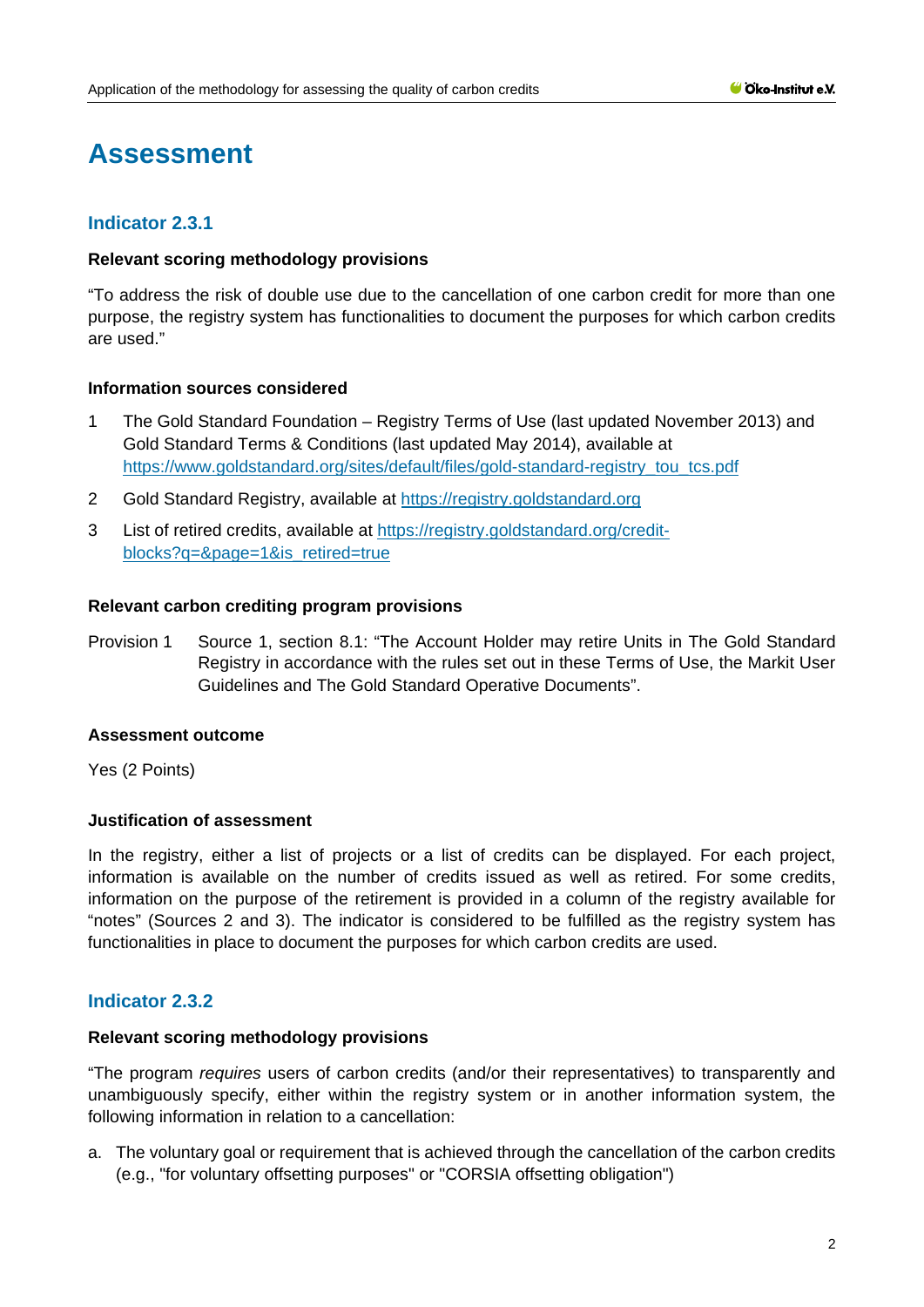# **Assessment**

# **Indicator 2.3.1**

#### **Relevant scoring methodology provisions**

"To address the risk of double use due to the cancellation of one carbon credit for more than one purpose, the registry system has functionalities to document the purposes for which carbon credits are used."

#### **Information sources considered**

- 1 The Gold Standard Foundation Registry Terms of Use (last updated November 2013) and Gold Standard Terms & Conditions (last updated May 2014), available at [https://www.goldstandard.org/sites/default/files/gold-standard-registry\\_tou\\_tcs.pdf](https://www.goldstandard.org/sites/default/files/gold-standard-registry_tou_tcs.pdf)
- 2 Gold Standard Registry, available at [https://registry.goldstandard.org](https://registry.goldstandard.org/)
- 3 List of retired credits, available at [https://registry.goldstandard.org/credit](https://registry.goldstandard.org/credit-blocks?q=&page=1&is_retired=true)[blocks?q=&page=1&is\\_retired=true](https://registry.goldstandard.org/credit-blocks?q=&page=1&is_retired=true)

#### **Relevant carbon crediting program provisions**

Provision 1 Source 1, section 8.1: "The Account Holder may retire Units in The Gold Standard Registry in accordance with the rules set out in these Terms of Use, the Markit User Guidelines and The Gold Standard Operative Documents".

#### **Assessment outcome**

Yes (2 Points)

## **Justification of assessment**

In the registry, either a list of projects or a list of credits can be displayed. For each project, information is available on the number of credits issued as well as retired. For some credits, information on the purpose of the retirement is provided in a column of the registry available for "notes" (Sources 2 and 3). The indicator is considered to be fulfilled as the registry system has functionalities in place to document the purposes for which carbon credits are used.

## **Indicator 2.3.2**

#### **Relevant scoring methodology provisions**

"The program *requires* users of carbon credits (and/or their representatives) to transparently and unambiguously specify, either within the registry system or in another information system, the following information in relation to a cancellation:

a. The voluntary goal or requirement that is achieved through the cancellation of the carbon credits (e.g., "for voluntary offsetting purposes" or "CORSIA offsetting obligation")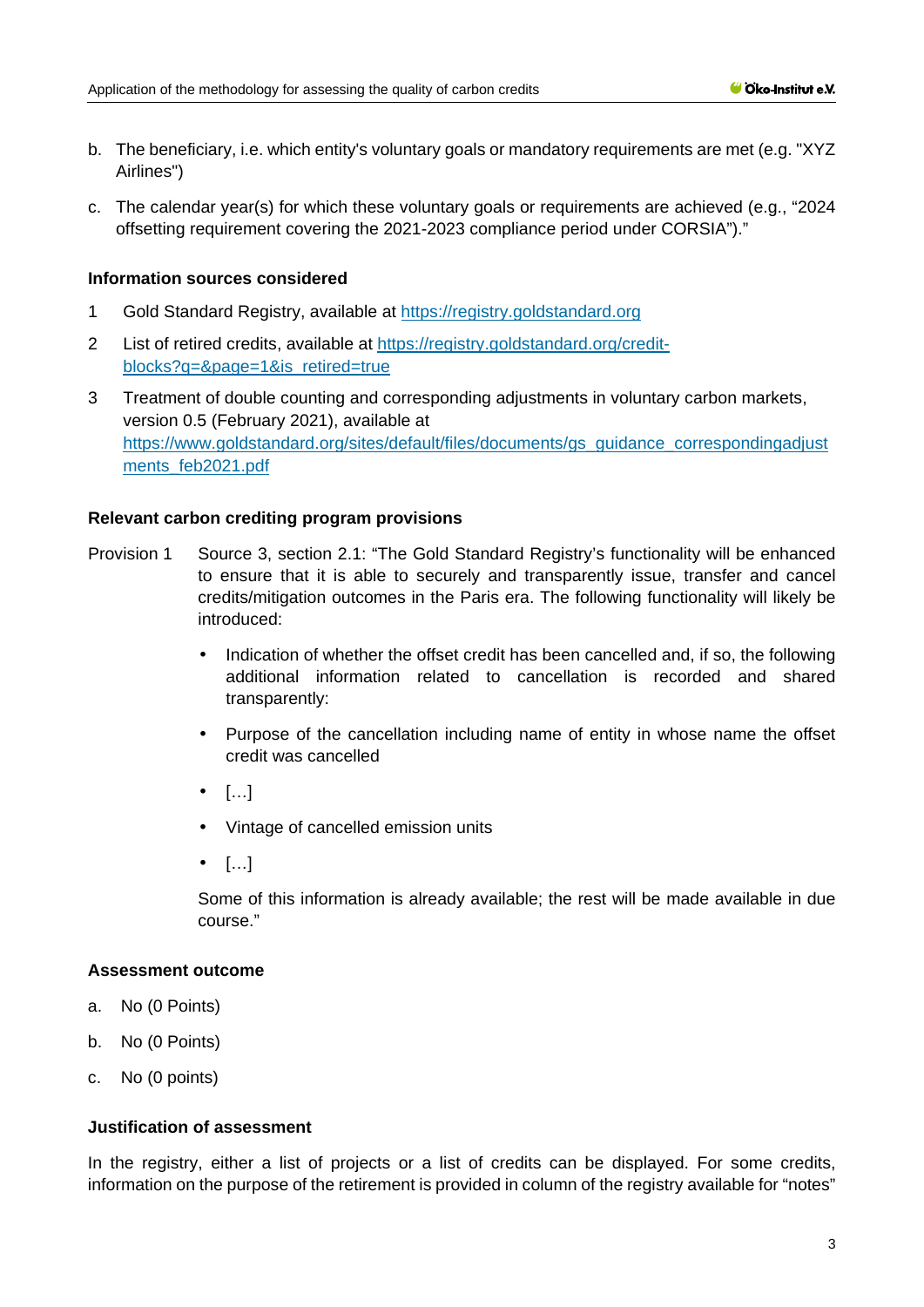- b. The beneficiary, i.e. which entity's voluntary goals or mandatory requirements are met (e.g. "XYZ Airlines")
- c. The calendar year(s) for which these voluntary goals or requirements are achieved (e.g., "2024 offsetting requirement covering the 2021-2023 compliance period under CORSIA")."

#### **Information sources considered**

- 1 Gold Standard Registry, available at [https://registry.goldstandard.org](https://registry.goldstandard.org/)
- 2 List of retired credits, available at [https://registry.goldstandard.org/credit](https://registry.goldstandard.org/credit-blocks?q=&page=1&is_retired=true)[blocks?q=&page=1&is\\_retired=true](https://registry.goldstandard.org/credit-blocks?q=&page=1&is_retired=true)
- 3 Treatment of double counting and corresponding adjustments in voluntary carbon markets, version 0.5 (February 2021), available at [https://www.goldstandard.org/sites/default/files/documents/gs\\_guidance\\_correspondingadjust](https://www.goldstandard.org/sites/default/files/documents/gs_guidance_correspondingadjustments_feb2021.pdf) [ments\\_feb2021.pdf](https://www.goldstandard.org/sites/default/files/documents/gs_guidance_correspondingadjustments_feb2021.pdf)

#### **Relevant carbon crediting program provisions**

- Provision 1 Source 3, section 2.1: "The Gold Standard Registry's functionality will be enhanced to ensure that it is able to securely and transparently issue, transfer and cancel credits/mitigation outcomes in the Paris era. The following functionality will likely be introduced:
	- Indication of whether the offset credit has been cancelled and, if so, the following additional information related to cancellation is recorded and shared transparently:
	- Purpose of the cancellation including name of entity in whose name the offset credit was cancelled
	- $\cdot$  […]
	- Vintage of cancelled emission units
	- $\cdot$  […]

Some of this information is already available; the rest will be made available in due course."

#### **Assessment outcome**

- a. No (0 Points)
- b. No (0 Points)
- c. No (0 points)

#### **Justification of assessment**

In the registry, either a list of projects or a list of credits can be displayed. For some credits, information on the purpose of the retirement is provided in column of the registry available for "notes"